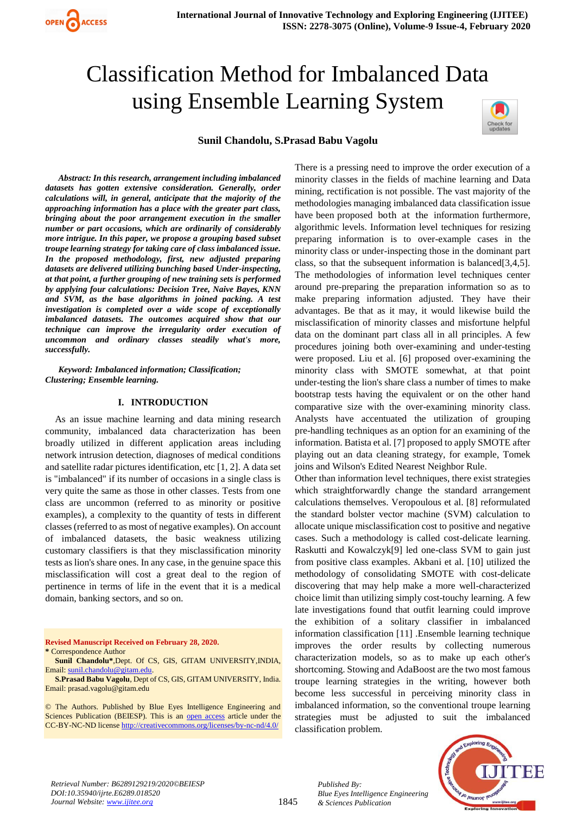# Classification Method for Imbalanced Data using Ensemble Learning System



### **Sunil Chandolu, S.Prasad Babu Vagolu**

*Abstract: In this research, arrangement including imbalanced datasets has gotten extensive consideration. Generally, order calculations will, in general, anticipate that the majority of the approaching information has a place with the greater part class, bringing about the poor arrangement execution in the smaller number or part occasions, which are ordinarily of considerably more intrigue. In this paper, we propose a grouping based subset troupe learning strategy for taking care of class imbalanced issue. In the proposed methodology, first, new adjusted preparing datasets are delivered utilizing bunching based Under-inspecting, at that point, a further grouping of new training sets is performed by applying four calculations: Decision Tree, Naive Bayes, KNN and SVM, as the base algorithms in joined packing. A test investigation is completed over a wide scope of exceptionally imbalanced datasets. The outcomes acquired show that our technique can improve the irregularity order execution of uncommon and ordinary classes steadily what's more, successfully.*

*Keyword: Imbalanced information; Classification; Clustering; Ensemble learning.*

#### **I. INTRODUCTION**

As an issue machine learning and data mining research community, imbalanced data characterization has been broadly utilized in different application areas including network intrusion detection, diagnoses of medical conditions and satellite radar pictures identification, etc [1, 2]. A data set is "imbalanced" if its number of occasions in a single class is very quite the same as those in other classes. Tests from one class are uncommon (referred to as minority or positive examples), a complexity to the quantity of tests in different classes (referred to as most of negative examples). On account of imbalanced datasets, the basic weakness utilizing customary classifiers is that they misclassification minority tests as lion's share ones. In any case, in the genuine space this misclassification will cost a great deal to the region of pertinence in terms of life in the event that it is a medical domain, banking sectors, and so on.

**Revised Manuscript Received on February 28, 2020. \*** Correspondence Author

**Sunil Chandolu\***,Dept. Of CS, GIS, GITAM UNIVERSITY,INDIA, Email[: sunil.chandolu@gitam.edu.](mailto:sunil.chandolu@gitam.edu)

**S.Prasad Babu Vagolu**, Dept of CS, GIS, GITAM UNIVERSITY, India. Email: prasad.vagolu@gitam.edu

© The Authors. Published by Blue Eyes Intelligence Engineering and Sciences Publication (BEIESP). This is an [open access](https://www.openaccess.nl/en/open-publications) article under the CC-BY-NC-ND licens[e http://creativecommons.org/licenses/by-nc-nd/4.0/](http://creativecommons.org/licenses/by-nc-nd/4.0/)

There is a pressing need to improve the order execution of a minority classes in the fields of machine learning and Data mining, rectification is not possible. The vast majority of the methodologies managing imbalanced data classification issue have been proposed both at the information furthermore, algorithmic levels. Information level techniques for resizing preparing information is to over-example cases in the minority class or under-inspecting those in the dominant part class, so that the subsequent information is balanced[3,4,5]. The methodologies of information level techniques center around pre-preparing the preparation information so as to make preparing information adjusted. They have their advantages. Be that as it may, it would likewise build the misclassification of minority classes and misfortune helpful data on the dominant part class all in all principles. A few procedures joining both over-examining and under-testing were proposed. Liu et al. [6] proposed over-examining the minority class with SMOTE somewhat, at that point under-testing the lion's share class a number of times to make bootstrap tests having the equivalent or on the other hand comparative size with the over-examining minority class. Analysts have accentuated the utilization of grouping pre-handling techniques as an option for an examining of the information. Batista et al. [7] proposed to apply SMOTE after playing out an data cleaning strategy, for example, Tomek joins and Wilson's Edited Nearest Neighbor Rule.

Other than information level techniques, there exist strategies which straightforwardly change the standard arrangement calculations themselves. Veropoulous et al. [8] reformulated the standard bolster vector machine (SVM) calculation to allocate unique misclassification cost to positive and negative cases. Such a methodology is called cost-delicate learning. Raskutti and Kowalczyk[9] led one-class SVM to gain just from positive class examples. Akbani et al. [10] utilized the methodology of consolidating SMOTE with cost-delicate discovering that may help make a more well-characterized choice limit than utilizing simply cost-touchy learning. A few late investigations found that outfit learning could improve the exhibition of a solitary classifier in imbalanced information classification [11] .Ensemble learning technique improves the order results by collecting numerous characterization models, so as to make up each other's shortcoming. Stowing and AdaBoost are the two most famous troupe learning strategies in the writing, however both become less successful in perceiving minority class in imbalanced information, so the conventional troupe learning strategies must be adjusted to suit the imbalanced classification problem.



*Retrieval Number: B6289129219/2020©BEIESP DOI:10.35940/ijrte.E6289.018520 Journal Website: www.ijitee.org*

*Published By: Blue Eyes Intelligence Engineering & Sciences Publication*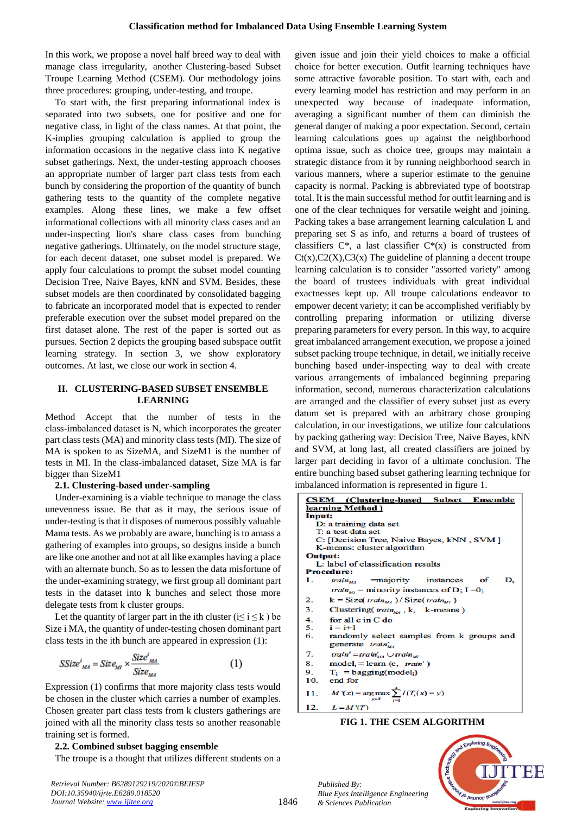In this work, we propose a novel half breed way to deal with manage class irregularity, another Clustering-based Subset Troupe Learning Method (CSEM). Our methodology joins three procedures: grouping, under-testing, and troupe.

To start with, the first preparing informational index is separated into two subsets, one for positive and one for negative class, in light of the class names. At that point, the K-implies grouping calculation is applied to group the information occasions in the negative class into K negative subset gatherings. Next, the under-testing approach chooses an appropriate number of larger part class tests from each bunch by considering the proportion of the quantity of bunch gathering tests to the quantity of the complete negative examples. Along these lines, we make a few offset informational collections with all minority class cases and an under-inspecting lion's share class cases from bunching negative gatherings. Ultimately, on the model structure stage, for each decent dataset, one subset model is prepared. We apply four calculations to prompt the subset model counting Decision Tree, Naive Bayes, kNN and SVM. Besides, these subset models are then coordinated by consolidated bagging to fabricate an incorporated model that is expected to render preferable execution over the subset model prepared on the first dataset alone. The rest of the paper is sorted out as pursues. Section 2 depicts the grouping based subspace outfit learning strategy. In section 3, we show exploratory outcomes. At last, we close our work in section 4.

## **II. CLUSTERING-BASED SUBSET ENSEMBLE LEARNING**

Method Accept that the number of tests in the class-imbalanced dataset is N, which incorporates the greater part class tests (MA) and minority class tests (MI). The size of MA is spoken to as SizeMA, and SizeM1 is the number of tests in MI. In the class-imbalanced dataset, Size MA is far bigger than SizeM1

#### **2.1. Clustering-based under-sampling**

Under-examining is a viable technique to manage the class unevenness issue. Be that as it may, the serious issue of under-testing is that it disposes of numerous possibly valuable Mama tests. As we probably are aware, bunching is to amass a gathering of examples into groups, so designs inside a bunch are like one another and not at all like examples having a place with an alternate bunch. So as to lessen the data misfortune of the under-examining strategy, we first group all dominant part tests in the dataset into k bunches and select those more delegate tests from k cluster groups.

Let the quantity of larger part in the ith cluster ( $i \le i \le k$ ) be Size i MA, the quantity of under-testing chosen dominant part class tests in the ith bunch are appeared in expression (1):

$$
SSize_{_{MA}}^{i} = Size_{_{MI}} \times \frac{Size_{_{MA}}^{i}}{Size_{_{MA}}}
$$
 (1)

Expression (1) confirms that more majority class tests would be chosen in the cluster which carries a number of examples. Chosen greater part class tests from k clusters gatherings are joined with all the minority class tests so another reasonable training set is formed.

### **2.2. Combined subset bagging ensemble**

The troupe is a thought that utilizes different students on a

*Retrieval Number: B6289129219/2020©BEIESP DOI:10.35940/ijrte.E6289.018520 Journal Website: www.ijitee.org*

given issue and join their yield choices to make a official choice for better execution. Outfit learning techniques have some attractive favorable position. To start with, each and every learning model has restriction and may perform in an unexpected way because of inadequate information, averaging a significant number of them can diminish the general danger of making a poor expectation. Second, certain learning calculations goes up against the neighborhood optima issue, such as choice tree, groups may maintain a strategic distance from it by running neighborhood search in various manners, where a superior estimate to the genuine capacity is normal. Packing is abbreviated type of bootstrap total. It is the main successful method for outfit learning and is one of the clear techniques for versatile weight and joining. Packing takes a base arrangement learning calculation L and preparing set S as info, and returns a board of trustees of classifiers  $C^*$ , a last classifier  $C^*(x)$  is constructed from  $Ct(x),C2(X),C3(x)$  The guideline of planning a decent troupe learning calculation is to consider "assorted variety" among the board of trustees individuals with great individual exactnesses kept up. All troupe calculations endeavor to empower decent variety; it can be accomplished verifiably by controlling preparing information or utilizing diverse preparing parameters for every person. In this way, to acquire great imbalanced arrangement execution, we propose a joined subset packing troupe technique, in detail, we initially receive bunching based under-inspecting way to deal with create various arrangements of imbalanced beginning preparing information, second, numerous characterization calculations are arranged and the classifier of every subset just as every datum set is prepared with an arbitrary chose grouping calculation, in our investigations, we utilize four calculations by packing gathering way: Decision Tree, Naive Bayes, kNN and SVM, at long last, all created classifiers are joined by larger part deciding in favor of a ultimate conclusion. The entire bunching based subset gathering learning technique for imbalanced information is represented in figure 1.

| <b>CSEM</b> (Clustering-based Subset Ensemble                        |  |  |  |  |  |
|----------------------------------------------------------------------|--|--|--|--|--|
| learning Method)                                                     |  |  |  |  |  |
| Input:                                                               |  |  |  |  |  |
| D: a training data set<br>T: a test data set                         |  |  |  |  |  |
|                                                                      |  |  |  |  |  |
| C: [Decision Tree, Naive Bayes, kNN, SVM]                            |  |  |  |  |  |
| K-means: cluster algorithm                                           |  |  |  |  |  |
| Output:                                                              |  |  |  |  |  |
| L: label of classification results                                   |  |  |  |  |  |
| <b>Procedure:</b>                                                    |  |  |  |  |  |
| $train_{\text{tot}}$ = majority instances<br>D.<br>of<br>1.          |  |  |  |  |  |
| <i>train<sub>MI</sub></i> = minority instances of D; I =0;           |  |  |  |  |  |
| $k =$ Size(train <sub>Ma</sub> )/Size(train <sub>Ma</sub> )<br>$2-1$ |  |  |  |  |  |
| 3.<br>Clustering $train_{rel}$ , k, k-means)                         |  |  |  |  |  |
| 4.<br>for all $c$ in $C$ do                                          |  |  |  |  |  |
| 5.<br>$i = i+1$                                                      |  |  |  |  |  |
| 6.<br>randomly select samples from k groups and                      |  |  |  |  |  |
| generate train' <sub>u</sub>                                         |  |  |  |  |  |
| $\tau$<br>train' = train' <sub>us</sub> $\cup$ train <sub>us</sub>   |  |  |  |  |  |
| 8.<br>$model_i = learn(c, train')$                                   |  |  |  |  |  |
| 9.<br>$T_i =$ bagging(model <sub>i</sub> )                           |  |  |  |  |  |
| end for<br>10.                                                       |  |  |  |  |  |
| $M'(x) = \arg \max \sum I(T_i(x) = y)$<br>11.                        |  |  |  |  |  |
| 12<br>$I = M V T \lambda$                                            |  |  |  |  |  |

## **FIG 1. THE CSEM ALGORITHM**



*Published By: Blue Eyes Intelligence Engineering & Sciences Publication* 

1846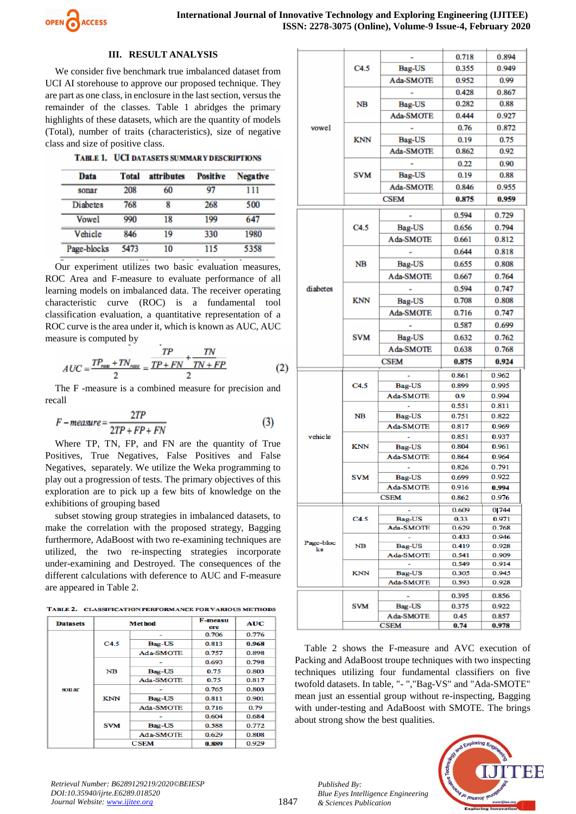

## **III. RESULT ANALYSIS**

We consider five benchmark true imbalanced dataset from UCI AI storehouse to approve our proposed technique. They are part as one class, in enclosure in the last section, versus the remainder of the classes. Table 1 abridges the primary highlights of these datasets, which are the quantity of models (Total), number of traits (characteristics), size of negative class and size of positive class.

|  | TABLE 1. UCI DATASETS SUMMARY DESCRIPTIONS |
|--|--------------------------------------------|
|--|--------------------------------------------|

| Data            | <b>Total</b> | attributes | <b>Positive</b> | <b>Negative</b> |
|-----------------|--------------|------------|-----------------|-----------------|
| sonar           | 208          | 60         | 97              | 111             |
| <b>Diahetes</b> | 768          | 8          | 268             | 500             |
| Vowel           | 990          | 18         | 199             | 647             |
| Vehicle         | 846          | 19         | 330             | 1980            |
| Page-blocks     | 5473         | 10         | 115             | 5358            |

Our experiment utilizes two basic evaluation measures, ROC Area and F-measure to evaluate performance of all learning models on imbalanced data. The receiver operating characteristic curve (ROC) is a fundamental tool classification evaluation, a quantitative representation of a ROC curve is the area under it, which is known as AUC, AUC measure is computed by

$$
AUC = \frac{TP_{\text{rate}} + TN_{\text{rate}}}{2} = \frac{TP}{TP + FN} + \frac{TN}{TN + FP}
$$
(2)

The F -measure is a combined measure for precision and recall

$$
F-measure = \frac{2TP}{2TP + FP + FN}
$$
 (3)

Where TP, TN, FP, and FN are the quantity of True Positives, True Negatives, False Positives and False Negatives, separately. We utilize the Weka programming to play out a progression of tests. The primary objectives of this exploration are to pick up a few bits of knowledge on the exhibitions of grouping based

subset stowing group strategies in imbalanced datasets, to make the correlation with the proposed strategy, Bagging furthermore, AdaBoost with two re-examining techniques are utilized, the two re-inspecting strategies incorporate under-examining and Destroyed. The consequences of the different calculations with deference to AUC and F-measure are appeared in Table 2.

| TABLE 2. CLASSIFICATION PERFORMANCE FOR VARIOUS METHODS |
|---------------------------------------------------------|
|                                                         |

| <b>Datasets</b> | <b>Method</b> |               | F-measu<br>ere | AUC   |
|-----------------|---------------|---------------|----------------|-------|
|                 |               |               | 0.706          | 0.776 |
|                 | C4.5          | <b>Bag-US</b> | 0.813          | 0.968 |
|                 |               | Ada-SMOTE     | 0.757          | 0.898 |
|                 |               |               | 0.693          | 0.798 |
|                 | <b>NB</b>     | Bag-US        | 0.75           | 0.803 |
| sonar           |               | Ada-SMOTE     | 0.75           | 0.817 |
|                 | <b>KNN</b>    |               | 0.765          | 0.803 |
|                 |               | <b>Bag-US</b> | 0.811          | 0.901 |
|                 |               | Ada-SMOTE     | 0.716          | 0.79  |
|                 | <b>SVM</b>    |               | 0.604          | 0.684 |
|                 |               | Bag-US        | 0.588          | 0.772 |
|                 |               | Ada-SMOTE     | 0.629          | 0.808 |
|                 | <b>CSEM</b>   |               | 0.889          | 0.929 |

|                 | C4.5        |                                    | 0.718          | 0.894          |
|-----------------|-------------|------------------------------------|----------------|----------------|
|                 |             | Bag-US                             | 0.355          | 0.949          |
|                 |             | Ada-SMOTE                          | 0.952          | 0.99           |
|                 |             |                                    | 0.428          | 0.867          |
|                 | NB          | Bag-US                             | 0.282          | 0.88           |
|                 |             | Ada-SMOTE                          | 0.444          | 0.927          |
|                 |             |                                    | 0.76           | 0.872          |
| vowel           |             |                                    |                |                |
|                 | <b>KNN</b>  | Bag-US                             | 0.19           | 0.75           |
|                 |             | Ada-SMOTE                          | 0.862          | 0.92           |
|                 |             |                                    | 0.22           | 0.90           |
|                 | <b>SVM</b>  | Bag-US                             | 0.19           | 0.88           |
|                 |             | Ada-SMOTE                          | 0.846          | 0.955          |
|                 | <b>CSEM</b> |                                    | 0.875          | 0.959          |
|                 |             |                                    | 0.594          | 0.729          |
|                 | C4.5        | Bag-US                             | 0.656          | 0.794          |
|                 |             | Ada-SMOTE                          | 0.661          | 0.812          |
|                 |             |                                    | 0.644          | 0.818          |
|                 |             |                                    |                |                |
|                 | <b>NB</b>   | Bag-US                             | 0.655          | 0.808          |
|                 |             | Ada-SMOTE                          | 0.667          | 0.764          |
| diabetes        |             |                                    | 0.594          | 0.747          |
|                 | <b>KNN</b>  | Bag-US                             | 0.708          | 0.808          |
|                 |             | Ada-SMOTE                          | 0.716          | 0.747          |
|                 |             |                                    | 0.587          | 0.699          |
|                 | <b>SVM</b>  | Bag-US                             | 0.632          | 0.762          |
|                 |             | Ada-SMOTE                          | 0.638          | 0.768          |
|                 |             |                                    | 0.875          | 0.924          |
|                 |             | <b>CSEM</b>                        |                |                |
|                 |             |                                    | 0.861          | 0.962          |
|                 | C4.5        | Bag-US                             | 0.899          | 0.995          |
|                 |             | Ada-SMOTE                          | 0.9            | 0.994<br>0.811 |
|                 | <b>NB</b>   | Bag-US                             | 0.551<br>0.751 | 0.822          |
|                 |             | Ada-SMOTE                          | 0.817          | 0.969          |
| vehicle         |             |                                    | 0.851          | 0.937          |
|                 | <b>KNN</b>  | Bag-US                             | 0.804          | 0.961          |
|                 |             | Ada-SMOTE                          | 0.864          | 0.964          |
|                 |             |                                    | 0.826          | 0.791          |
|                 | <b>SVM</b>  | <b>Bag-US</b>                      | 0.699          | 0.922          |
|                 |             | Ada-SMOTE                          | 0.916          | 0.994          |
|                 |             | <b>CSEM</b>                        | 0.862          | 0.976          |
|                 |             |                                    | 0.609          | 0.744          |
|                 | C4.5        | <b>Bag-US</b>                      | 0.33           | 0.971          |
|                 |             | Ada-SMOTE                          | 0.629          | 0.768          |
| Page-bloc<br>ks | NВ          |                                    | 0.433          | 0.946          |
|                 |             | <b>Bag-US</b>                      | 0.419          | 0.928          |
|                 |             | Ada-SMOTE                          | 0.541          | 0.909          |
|                 | KNN         | $\overline{\phantom{a}}$<br>Bag-US | 0.549<br>0.305 | 0.914<br>0.945 |
|                 |             | Ada-SMOTE                          | 0.593          | 0.928          |
|                 |             |                                    |                |                |
|                 |             |                                    | 0.395          | 0.856          |
|                 | SVM         | Bag-US<br>Ada-SMOTE                | 0.375<br>0.45  | 0.922<br>0.857 |
|                 |             | <b>CSEM</b>                        | 0.74           | 0.978          |
|                 |             |                                    |                |                |

Table 2 shows the F-measure and AVC execution of Packing and AdaBoost troupe techniques with two inspecting techniques utilizing four fundamental classifiers on five twofold datasets. In table, "- ","Bag-VS" and "Ada-SMOTE" mean just an essential group without re-inspecting, Bagging with under-testing and AdaBoost with SMOTE. The brings about strong show the best qualities.



*Retrieval Number: B6289129219/2020©BEIESP DOI:10.35940/ijrte.E6289.018520 Journal Website: www.ijitee.org*

*Published By:*